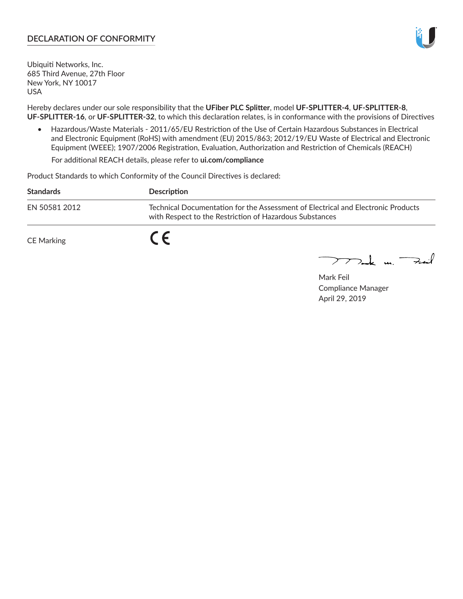# **DECLARATION OF CONFORMITY**



Ubiquiti Networks, Inc. 685 Third Avenue, 27th Floor New York, NY 10017 USA

Hereby declares under our sole responsibility that the **UFiber PLC Splitter**, model **UF‑SPLITTER‑4**, **UF‑SPLITTER‑8**, **UF‑SPLITTER‑16**, or **UF‑SPLITTER‑32**, to which this declaration relates, is in conformance with the provisions of Directives

• Hazardous/Waste Materials - 2011/65/EU Restriction of the Use of Certain Hazardous Substances in Electrical and Electronic Equipment (RoHS) with amendment (EU) 2015/863; 2012/19/EU Waste of Electrical and Electronic Equipment (WEEE); 1907/2006 Registration, Evaluation, Authorization and Restriction of Chemicals (REACH)

For additional REACH details, please refer to **ui.com/compliance**

Product Standards to which Conformity of the Council Directives is declared:

| <b>Standards</b> | Description                                                                                                                                 |
|------------------|---------------------------------------------------------------------------------------------------------------------------------------------|
| EN 50581 2012    | Technical Documentation for the Assessment of Electrical and Electronic Products<br>with Respect to the Restriction of Hazardous Substances |
| CE Marking       |                                                                                                                                             |

mak m. Fuil

Mark Feil Compliance Manager April 29, 2019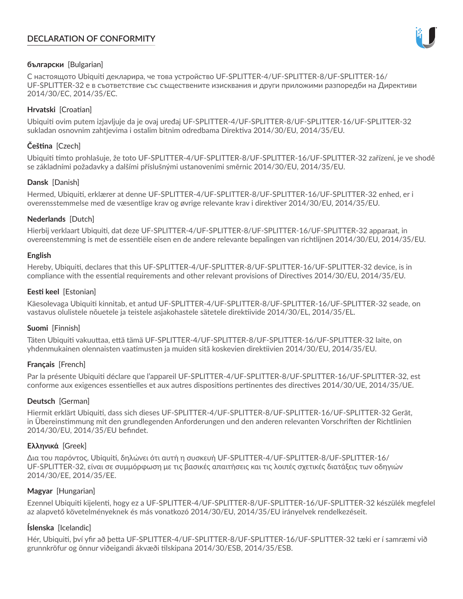# **DECLARATION OF CONFORMITY**



## **български** [Bulgarian]

С настоящото Ubiquiti декларира, че това устройство UF‑SPLITTER‑4/UF‑SPLITTER‑8/UF‑SPLITTER‑16/ UF‑SPLITTER‑32 е в съответствие със съществените изисквания и други приложими разпоредби на Директиви 2014/30/ЕС, 2014/35/ЕС.

## **Hrvatski** [Croatian]

Ubiquiti ovim putem izjavljuje da je ovaj uređaj UF-SPLITTER-4/UF-SPLITTER-8/UF-SPLITTER-16/UF-SPLITTER-32 sukladan osnovnim zahtjevima i ostalim bitnim odredbama Direktiva 2014/30/EU, 2014/35/EU.

# **Čeština** [Czech]

Ubiquiti tímto prohlašuje, že toto UF-SPLITTER-4/UF-SPLITTER-8/UF-SPLITTER-16/UF-SPLITTER-32 zařízení, je ve shodě se základními požadavky a dalšími příslušnými ustanoveními směrnic 2014/30/EU, 2014/35/EU.

# **Dansk** [Danish]

Hermed, Ubiquiti, erklærer at denne UF-SPLITTER-4/UF-SPLITTER-8/UF-SPLITTER-16/UF-SPLITTER-32 enhed, er i overensstemmelse med de væsentlige krav og øvrige relevante krav i direktiver 2014/30/EU, 2014/35/EU.

# **Nederlands** [Dutch]

Hierbij verklaart Ubiquiti, dat deze UF-SPLITTER-4/UF-SPLITTER-8/UF-SPLITTER-16/UF-SPLITTER-32 apparaat, in overeenstemming is met de essentiële eisen en de andere relevante bepalingen van richtlijnen 2014/30/EU, 2014/35/EU.

## **English**

Hereby, Ubiquiti, declares that this UF-SPLITTER-4/UF-SPLITTER-8/UF-SPLITTER-16/UF-SPLITTER-32 device, is in compliance with the essential requirements and other relevant provisions of Directives 2014/30/EU, 2014/35/EU.

## **Eesti keel** [Estonian]

Käesolevaga Ubiquiti kinnitab, et antud UF-SPLITTER-4/UF-SPLITTER-8/UF-SPLITTER-16/UF-SPLITTER-32 seade, on vastavus olulistele nõuetele ja teistele asjakohastele sätetele direktiivide 2014/30/EL, 2014/35/EL.

### **Suomi** [Finnish]

Täten Ubiquiti vakuuttaa, että tämä UF-SPLITTER-4/UF-SPLITTER-8/UF-SPLITTER-16/UF-SPLITTER-32 laite, on yhdenmukainen olennaisten vaatimusten ja muiden sitä koskevien direktiivien 2014/30/EU, 2014/35/EU.

### **Français** [French]

Par la présente Ubiquiti déclare que l'appareil UF-SPLITTER-4/UF-SPLITTER-8/UF-SPLITTER-16/UF-SPLITTER-32, est conforme aux exigences essentielles et aux autres dispositions pertinentes des directives 2014/30/UE, 2014/35/UE.

### **Deutsch** [German]

Hiermit erklärt Ubiquiti, dass sich dieses UF-SPLITTER-4/UF-SPLITTER-8/UF-SPLITTER-16/UF-SPLITTER-32 Gerät, in Übereinstimmung mit den grundlegenden Anforderungen und den anderen relevanten Vorschriften der Richtlinien 2014/30/EU, 2014/35/EU befindet.

# **Ελληνικά** [Greek]

Δια του παρόντος, Ubiquiti, δηλώνει ότι αυτή η συσκευή UF‑SPLITTER‑4/UF‑SPLITTER‑8/UF‑SPLITTER‑16/ UF‑SPLITTER‑32, είναι σε συμμόρφωση με τις βασικές απαιτήσεις και τις λοιπές σχετικές διατάξεις των οδηγιών 2014/30/EE, 2014/35/EE.

# **Magyar** [Hungarian]

Ezennel Ubiquiti kijelenti, hogy ez a UF-SPLITTER-4/UF-SPLITTER-8/UF-SPLITTER-16/UF-SPLITTER-32 készülék megfelel az alapvető követelményeknek és más vonatkozó 2014/30/EU, 2014/35/EU irányelvek rendelkezéseit.

# **Íslenska** [Icelandic]

Hér, Ubiquiti, því yfir að þetta UF-SPLITTER-4/UF-SPLITTER-8/UF-SPLITTER-16/UF-SPLITTER-32 tæki er í samræmi við grunnkröfur og önnur viðeigandi ákvæði tilskipana 2014/30/ESB, 2014/35/ESB.